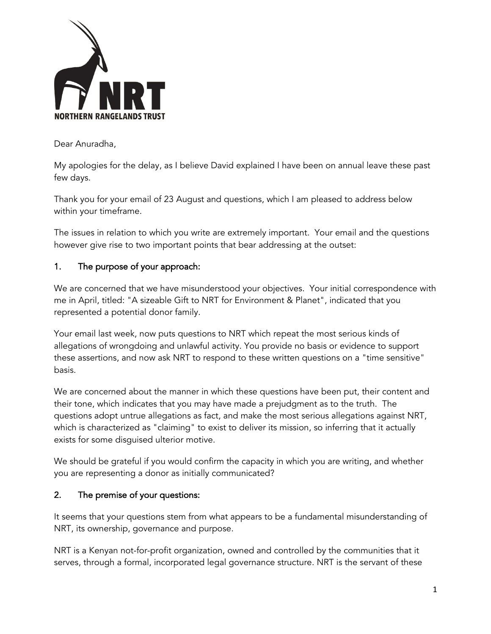

Dear Anuradha,

My apologies for the delay, as I believe David explained I have been on annual leave these past few days.

Thank you for your email of 23 August and questions, which I am pleased to address below within your timeframe.

The issues in relation to which you write are extremely important. Your email and the questions however give rise to two important points that bear addressing at the outset:

## 1. The purpose of your approach:

We are concerned that we have misunderstood your objectives. Your initial correspondence with me in April, titled: "A sizeable Gift to NRT for Environment & Planet", indicated that you represented a potential donor family.

Your email last week, now puts questions to NRT which repeat the most serious kinds of allegations of wrongdoing and unlawful activity. You provide no basis or evidence to support these assertions, and now ask NRT to respond to these written questions on a "time sensitive" basis.

We are concerned about the manner in which these questions have been put, their content and their tone, which indicates that you may have made a prejudgment as to the truth. The questions adopt untrue allegations as fact, and make the most serious allegations against NRT, which is characterized as "claiming" to exist to deliver its mission, so inferring that it actually exists for some disguised ulterior motive.

We should be grateful if you would confirm the capacity in which you are writing, and whether you are representing a donor as initially communicated?

## 2. The premise of your questions:

It seems that your questions stem from what appears to be a fundamental misunderstanding of NRT, its ownership, governance and purpose.

NRT is a Kenyan not-for-profit organization, owned and controlled by the communities that it serves, through a formal, incorporated legal governance structure. NRT is the servant of these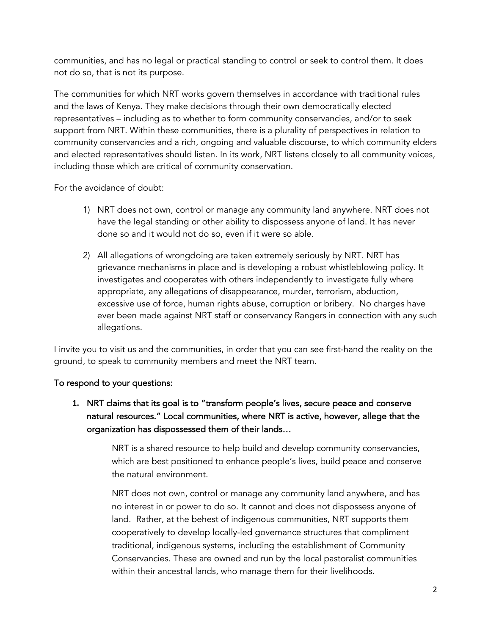communities, and has no legal or practical standing to control or seek to control them. It does not do so, that is not its purpose.

The communities for which NRT works govern themselves in accordance with traditional rules and the laws of Kenya. They make decisions through their own democratically elected representatives – including as to whether to form community conservancies, and/or to seek support from NRT. Within these communities, there is a plurality of perspectives in relation to community conservancies and a rich, ongoing and valuable discourse, to which community elders and elected representatives should listen. In its work, NRT listens closely to all community voices, including those which are critical of community conservation.

For the avoidance of doubt:

- 1) NRT does not own, control or manage any community land anywhere. NRT does not have the legal standing or other ability to dispossess anyone of land. It has never done so and it would not do so, even if it were so able.
- 2) All allegations of wrongdoing are taken extremely seriously by NRT. NRT has grievance mechanisms in place and is developing a robust whistleblowing policy. It investigates and cooperates with others independently to investigate fully where appropriate, any allegations of disappearance, murder, terrorism, abduction, excessive use of force, human rights abuse, corruption or bribery. No charges have ever been made against NRT staff or conservancy Rangers in connection with any such allegations.

I invite you to visit us and the communities, in order that you can see first-hand the reality on the ground, to speak to community members and meet the NRT team.

#### To respond to your questions:

**1.** NRT claims that its goal is to "transform people's lives, secure peace and conserve natural resources." Local communities, where NRT is active, however, allege that the organization has dispossessed them of their lands…

> NRT is a shared resource to help build and develop community conservancies, which are best positioned to enhance people's lives, build peace and conserve the natural environment.

> NRT does not own, control or manage any community land anywhere, and has no interest in or power to do so. It cannot and does not dispossess anyone of land. Rather, at the behest of indigenous communities, NRT supports them cooperatively to develop locally-led governance structures that compliment traditional, indigenous systems, including the establishment of Community Conservancies. These are owned and run by the local pastoralist communities within their ancestral lands, who manage them for their livelihoods.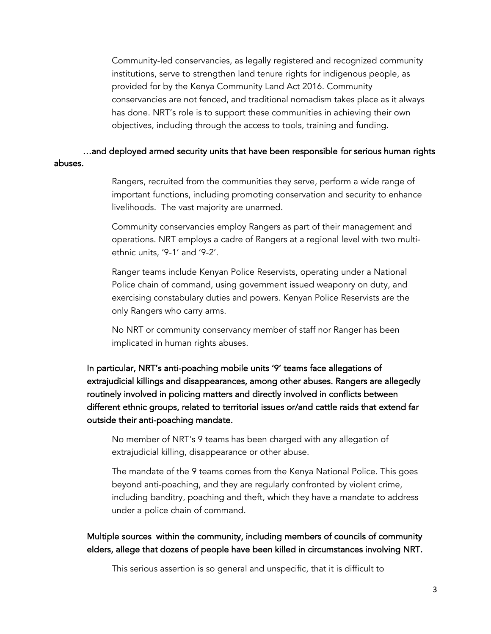Community-led conservancies, as legally registered and recognized community institutions, serve to strengthen land tenure rights for indigenous people, as provided for by the Kenya Community Land Act 2016. Community conservancies are not fenced, and traditional nomadism takes place as it always has done. NRT's role is to support these communities in achieving their own objectives, including through the access to tools, training and funding.

…and deployed armed security units that have been responsible for serious human rights abuses.

> Rangers, recruited from the communities they serve, perform a wide range of important functions, including promoting conservation and security to enhance livelihoods. The vast majority are unarmed.

> Community conservancies employ Rangers as part of their management and operations. NRT employs a cadre of Rangers at a regional level with two multiethnic units, '9-1' and '9-2'.

Ranger teams include Kenyan Police Reservists, operating under a National Police chain of command, using government issued weaponry on duty, and exercising constabulary duties and powers. Kenyan Police Reservists are the only Rangers who carry arms.

No NRT or community conservancy member of staff nor Ranger has been implicated in human rights abuses.

In particular, NRT's anti-poaching mobile units '9' teams face allegations of extrajudicial killings and disappearances, among other abuses. Rangers are allegedly routinely involved in policing matters and directly involved in conflicts between different ethnic groups, related to territorial issues or/and cattle raids that extend far outside their anti-poaching mandate.

No member of NRT's 9 teams has been charged with any allegation of extrajudicial killing, disappearance or other abuse.

The mandate of the 9 teams comes from the Kenya National Police. This goes beyond anti-poaching, and they are regularly confronted by violent crime, including banditry, poaching and theft, which they have a mandate to address under a police chain of command.

Multiple sources within the community, including members of councils of community elders, allege that dozens of people have been killed in circumstances involving NRT.

This serious assertion is so general and unspecific, that it is difficult to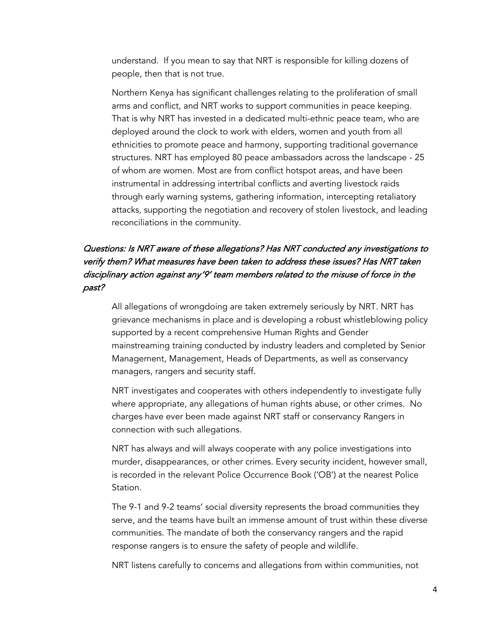understand. If you mean to say that NRT is responsible for killing dozens of people, then that is not true.

Northern Kenya has significant challenges relating to the proliferation of small arms and conflict, and NRT works to support communities in peace keeping. That is why NRT has invested in a dedicated multi-ethnic peace team, who are deployed around the clock to work with elders, women and youth from all ethnicities to promote peace and harmony, supporting traditional governance structures. NRT has employed 80 peace ambassadors across the landscape - 25 of whom are women. Most are from conflict hotspot areas, and have been instrumental in addressing intertribal conflicts and averting livestock raids through early warning systems, gathering information, intercepting retaliatory attacks, supporting the negotiation and recovery of stolen livestock, and leading reconciliations in the community.

### Questions: Is NRT aware of these allegations? Has NRT conducted any investigations to verify them? What measures have been taken to address these issues? Has NRT taken disciplinary action against any '9' team members related to the misuse of force in the past?

All allegations of wrongdoing are taken extremely seriously by NRT. NRT has grievance mechanisms in place and is developing a robust whistleblowing policy supported by a recent comprehensive Human Rights and Gender mainstreaming training conducted by industry leaders and completed by Senior Management, Management, Heads of Departments, as well as conservancy managers, rangers and security staff.

NRT investigates and cooperates with others independently to investigate fully where appropriate, any allegations of human rights abuse, or other crimes. No charges have ever been made against NRT staff or conservancy Rangers in connection with such allegations.

NRT has always and will always cooperate with any police investigations into murder, disappearances, or other crimes. Every security incident, however small, is recorded in the relevant Police Occurrence Book ('OB') at the nearest Police Station.

The 9-1 and 9-2 teams' social diversity represents the broad communities they serve, and the teams have built an immense amount of trust within these diverse communities. The mandate of both the conservancy rangers and the rapid response rangers is to ensure the safety of people and wildlife.

NRT listens carefully to concerns and allegations from within communities, not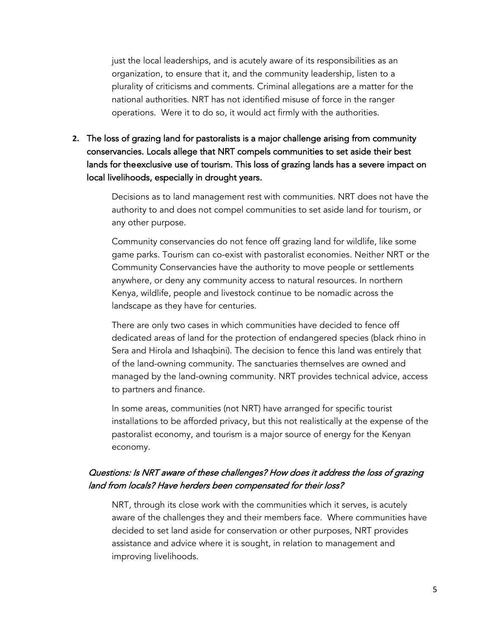just the local leaderships, and is acutely aware of its responsibilities as an organization, to ensure that it, and the community leadership, listen to a plurality of criticisms and comments. Criminal allegations are a matter for the national authorities. NRT has not identified misuse of force in the ranger operations. Were it to do so, it would act firmly with the authorities.

**2.** The loss of grazing land for pastoralists is a major challenge arising from community conservancies. Locals allege that NRT compels communities to set aside their best lands for the exclusive use of tourism. This loss of grazing lands has a severe impact on local livelihoods, especially in drought years.

> Decisions as to land management rest with communities. NRT does not have the authority to and does not compel communities to set aside land for tourism, or any other purpose.

> Community conservancies do not fence off grazing land for wildlife, like some game parks. Tourism can co-exist with pastoralist economies. Neither NRT or the Community Conservancies have the authority to move people or settlements anywhere, or deny any community access to natural resources. In northern Kenya, wildlife, people and livestock continue to be nomadic across the landscape as they have for centuries.

> There are only two cases in which communities have decided to fence off dedicated areas of land for the protection of endangered species (black rhino in Sera and Hirola and Ishaqbini). The decision to fence this land was entirely that of the land-owning community. The sanctuaries themselves are owned and managed by the land-owning community. NRT provides technical advice, access to partners and finance.

> In some areas, communities (not NRT) have arranged for specific tourist installations to be afforded privacy, but this not realistically at the expense of the pastoralist economy, and tourism is a major source of energy for the Kenyan economy.

#### Questions: Is NRT aware of these challenges? How does it address the loss of grazing land from locals? Have herders been compensated for their loss?

NRT, through its close work with the communities which it serves, is acutely aware of the challenges they and their members face. Where communities have decided to set land aside for conservation or other purposes, NRT provides assistance and advice where it is sought, in relation to management and improving livelihoods.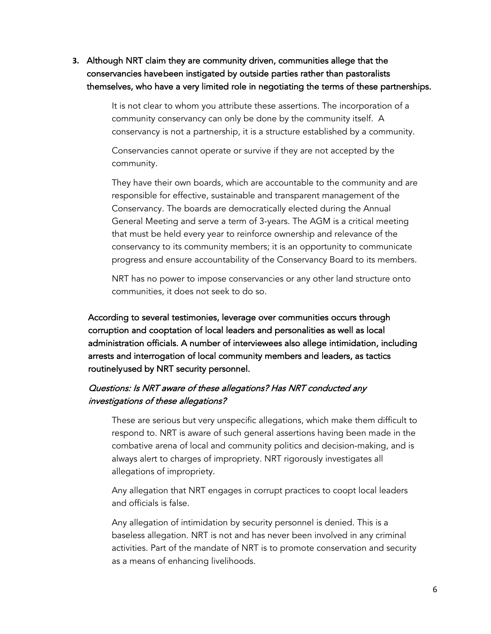**3.** Although NRT claim they are community driven, communities allege that the conservancies have been instigated by outside parties rather than pastoralists themselves, who have a very limited role in negotiating the terms of these partnerships.

> It is not clear to whom you attribute these assertions. The incorporation of a community conservancy can only be done by the community itself. A conservancy is not a partnership, it is a structure established by a community.

Conservancies cannot operate or survive if they are not accepted by the community.

They have their own boards, which are accountable to the community and are responsible for effective, sustainable and transparent management of the Conservancy. The boards are democratically elected during the Annual General Meeting and serve a term of 3-years. The AGM is a critical meeting that must be held every year to reinforce ownership and relevance of the conservancy to its community members; it is an opportunity to communicate progress and ensure accountability of the Conservancy Board to its members.

NRT has no power to impose conservancies or any other land structure onto communities, it does not seek to do so.

According to several testimonies, leverage over communities occurs through corruption and cooptation of local leaders and personalities as well as local administration officials. A number of interviewees also allege intimidation, including arrests and interrogation of local community members and leaders, as tactics routinely used by NRT security personnel.

#### Questions: Is NRT aware of these allegations? Has NRT conducted any investigations of these allegations?

These are serious but very unspecific allegations, which make them difficult to respond to. NRT is aware of such general assertions having been made in the combative arena of local and community politics and decision-making, and is always alert to charges of impropriety. NRT rigorously investigates all allegations of impropriety.

Any allegation that NRT engages in corrupt practices to coopt local leaders and officials is false.

Any allegation of intimidation by security personnel is denied. This is a baseless allegation. NRT is not and has never been involved in any criminal activities. Part of the mandate of NRT is to promote conservation and security as a means of enhancing livelihoods.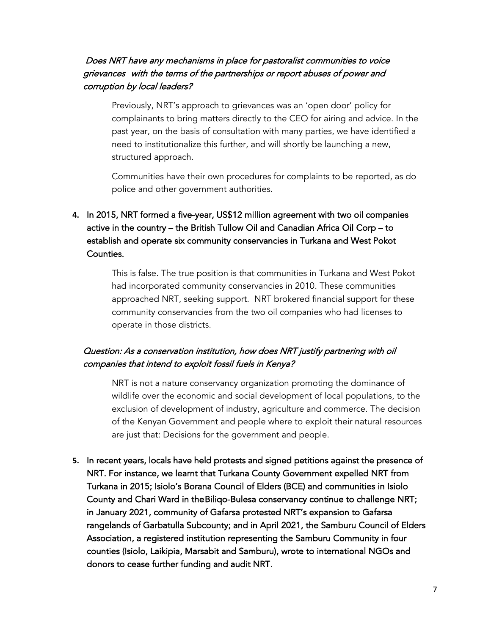#### Does NRT have any mechanisms in place for pastoralist communities to voice grievances with the terms of the partnerships or report abuses of power and corruption by local leaders?

Previously, NRT's approach to grievances was an 'open door' policy for complainants to bring matters directly to the CEO for airing and advice. In the past year, on the basis of consultation with many parties, we have identified a need to institutionalize this further, and will shortly be launching a new, structured approach.

Communities have their own procedures for complaints to be reported, as do police and other government authorities.

## **4.** In 2015, NRT formed a five-year, US\$12 million agreement with two oil companies active in the country – the British Tullow Oil and Canadian Africa Oil Corp – to establish and operate six community conservancies in Turkana and West Pokot Counties.

This is false. The true position is that communities in Turkana and West Pokot had incorporated community conservancies in 2010. These communities approached NRT, seeking support. NRT brokered financial support for these community conservancies from the two oil companies who had licenses to operate in those districts.

### Question: As a conservation institution, how does NRT justify partnering with oil companies that intend to exploit fossil fuels in Kenya?

NRT is not a nature conservancy organization promoting the dominance of wildlife over the economic and social development of local populations, to the exclusion of development of industry, agriculture and commerce. The decision of the Kenyan Government and people where to exploit their natural resources are just that: Decisions for the government and people.

**5.** In recent years, locals have held protests and signed petitions against the presence of NRT. For instance, we learnt that Turkana County Government expelled NRT from Turkana in 2015; Isiolo's Borana Council of Elders (BCE) and communities in Isiolo County and Chari Ward in the Biliqo-Bulesa conservancy continue to challenge NRT; in January 2021, community of Gafarsa protested NRT's expansion to Gafarsa rangelands of Garbatulla Subcounty; and in April 2021, the Samburu Council of Elders Association, a registered institution representing the Samburu Community in four counties (Isiolo, Laikipia, Marsabit and Samburu), wrote to international NGOs and donors to cease further funding and audit NRT.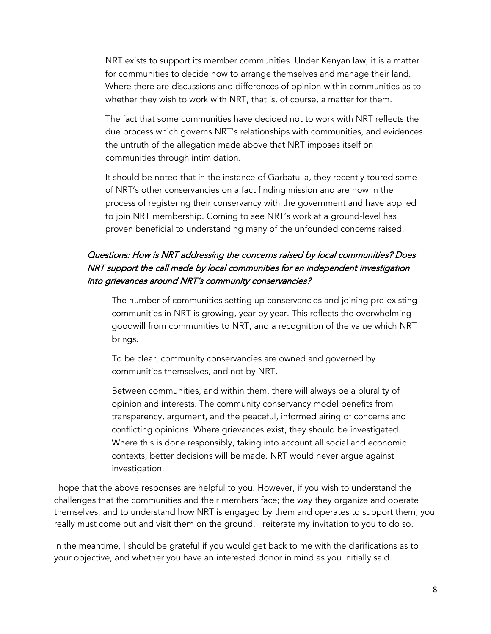NRT exists to support its member communities. Under Kenyan law, it is a matter for communities to decide how to arrange themselves and manage their land. Where there are discussions and differences of opinion within communities as to whether they wish to work with NRT, that is, of course, a matter for them.

The fact that some communities have decided not to work with NRT reflects the due process which governs NRT's relationships with communities, and evidences the untruth of the allegation made above that NRT imposes itself on communities through intimidation.

It should be noted that in the instance of Garbatulla, they recently toured some of NRT's other conservancies on a fact finding mission and are now in the process of registering their conservancy with the government and have applied to join NRT membership. Coming to see NRT's work at a ground-level has proven beneficial to understanding many of the unfounded concerns raised.

## Questions: How is NRT addressing the concerns raised by local communities? Does NRT support the call made by local communities for an independent investigation into grievances around NRT's community conservancies?

The number of communities setting up conservancies and joining pre-existing communities in NRT is growing, year by year. This reflects the overwhelming goodwill from communities to NRT, and a recognition of the value which NRT brings.

To be clear, community conservancies are owned and governed by communities themselves, and not by NRT.

Between communities, and within them, there will always be a plurality of opinion and interests. The community conservancy model benefits from transparency, argument, and the peaceful, informed airing of concerns and conflicting opinions. Where grievances exist, they should be investigated. Where this is done responsibly, taking into account all social and economic contexts, better decisions will be made. NRT would never argue against investigation.

I hope that the above responses are helpful to you. However, if you wish to understand the challenges that the communities and their members face; the way they organize and operate themselves; and to understand how NRT is engaged by them and operates to support them, you really must come out and visit them on the ground. I reiterate my invitation to you to do so.

In the meantime, I should be grateful if you would get back to me with the clarifications as to your objective, and whether you have an interested donor in mind as you initially said.